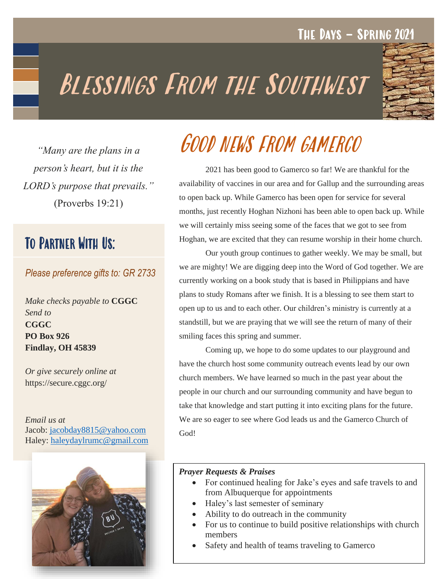### Fall **2020** The Days – Spring 2021

# BLESSINGS FROM THE SOUTHWEST



*"Many are the plans in a person's heart, but it is the LORD's purpose that prevails."* (Proverbs 19:21)

## To Partner With Us:

#### *Please preference gifts to: GR 2733*

*Make checks payable to* **CGGC** *Send to*  **CGGC PO Box 926 Findlay, OH 45839**

*Or give securely online at*  https://secure.cggc.org/

*Email us at* Jacob: [jacobday8815@yahoo.com](mailto:jacobday8815@yahoo.com) Haley: [haleydaylrumc@gmail.com](mailto:haleydaylrumc@gmail.com)



## Good news from gamerco

2021 has been good to Gamerco so far! We are thankful for the availability of vaccines in our area and for Gallup and the surrounding areas to open back up. While Gamerco has been open for service for several months, just recently Hoghan Nizhoni has been able to open back up. While we will certainly miss seeing some of the faces that we got to see from Hoghan, we are excited that they can resume worship in their home church.

Our youth group continues to gather weekly. We may be small, but we are mighty! We are digging deep into the Word of God together. We are currently working on a book study that is based in Philippians and have plans to study Romans after we finish. It is a blessing to see them start to open up to us and to each other. Our children's ministry is currently at a standstill, but we are praying that we will see the return of many of their smiling faces this spring and summer.

Coming up, we hope to do some updates to our playground and have the church host some community outreach events lead by our own church members. We have learned so much in the past year about the people in our church and our surrounding community and have begun to take that knowledge and start putting it into exciting plans for the future. We are so eager to see where God leads us and the Gamerco Church of God!

#### *Prayer Requests & Praises*

- For continued healing for Jake's eyes and safe travels to and from Albuquerque for appointments
- Haley's last semester of seminary
- Ability to do outreach in the community
- For us to continue to build positive relationships with church members
- Safety and health of teams traveling to Gamerco